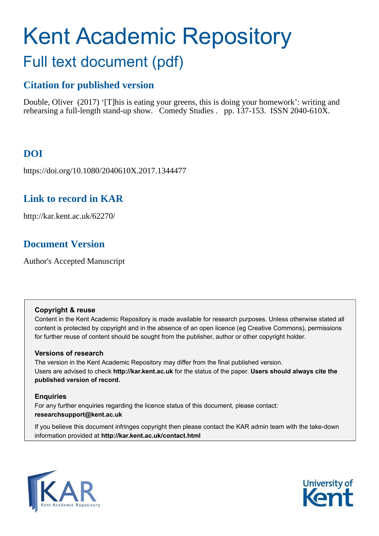# Kent Academic Repository Full text document (pdf)

## **Citation for published version**

Double, Oliver (2017) '[T]his is eating your greens, this is doing your homework': writing and rehearsing a full-length stand-up show. Comedy Studies . pp. 137-153. ISSN 2040-610X.

## **DOI**

https://doi.org/10.1080/2040610X.2017.1344477

## **Link to record in KAR**

http://kar.kent.ac.uk/62270/

## **Document Version**

Author's Accepted Manuscript

#### **Copyright & reuse**

Content in the Kent Academic Repository is made available for research purposes. Unless otherwise stated all content is protected by copyright and in the absence of an open licence (eg Creative Commons), permissions for further reuse of content should be sought from the publisher, author or other copyright holder.

#### **Versions of research**

The version in the Kent Academic Repository may differ from the final published version. Users are advised to check **http://kar.kent.ac.uk** for the status of the paper. **Users should always cite the published version of record.**

#### **Enquiries**

For any further enquiries regarding the licence status of this document, please contact: **researchsupport@kent.ac.uk**

If you believe this document infringes copyright then please contact the KAR admin team with the take-down information provided at **http://kar.kent.ac.uk/contact.html**



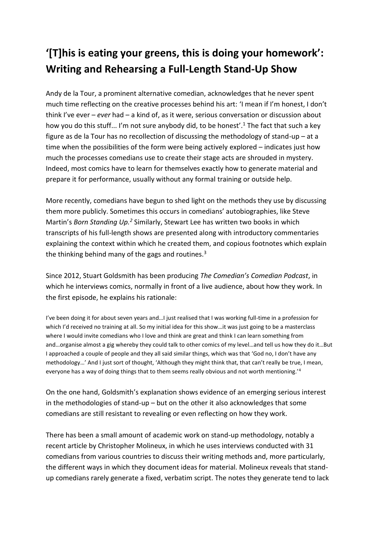## '[T]his is eating your greens, this is doing your homework': **Writing and Rehearsing a Full-Length Stand-Up Show**

Andy de la Tour, a prominent alternative comedian, acknowledges that he never spent much time reflecting on the creative processes behind his art: 'I mean if I'm honest, I don't think I've ever – ever had – a kind of, as it were, serious conversation or discussion about how you do this stuff... I'm not sure anybody did, to be honest'.<sup>1</sup> The fact that such a key figure as de la Tour has no recollection of discussing the methodology of stand-up  $-$  at a time when the possibilities of the form were being actively explored – indicates just how much the processes comedians use to create their stage acts are shrouded in mystery. Indeed, most comics have to learn for themselves exactly how to generate material and prepare it for performance, usually without any formal training or outside help.

More recently, comedians have begun to shed light on the methods they use by discussing them more publicly. Sometimes this occurs in comedians' autobiographies, like Steve Martin's Born Standing Up.<sup>2</sup> Similarly, Stewart Lee has written two books in which transcripts of his full-length shows are presented along with introductory commentaries explaining the context within which he created them, and copious footnotes which explain the thinking behind many of the gags and routines. $3$ 

Since 2012, Stuart Goldsmith has been producing *The Comedian's Comedian Podcast*, in which he interviews comics, normally in front of a live audience, about how they work. In the first episode, he explains his rationale:

I've been doing it for about seven years and...I just realised that I was working full-time in a profession for which I'd received no training at all. So my initial idea for this show...it was just going to be a masterclass where I would invite comedians who I love and think are great and think I can learn something from and...organise almost a gig whereby they could talk to other comics of my level...and tell us how they do it...But I approached a couple of people and they all said similar things, which was that 'God no. I don't have any methodology...' And I just sort of thought, 'Although they might think that, that can't really be true, I mean, everyone has a way of doing things that to them seems really obvious and not worth mentioning.<sup>14</sup>

On the one hand, Goldsmith's explanation shows evidence of an emerging serious interest in the methodologies of stand-up  $-$  but on the other it also acknowledges that some comedians are still resistant to revealing or even reflecting on how they work.

There has been a small amount of academic work on stand-up methodology, notably a recent article by Christopher Molineux, in which he uses interviews conducted with 31 comedians from various countries to discuss their writing methods and, more particularly, the different ways in which they document ideas for material. Molineux reveals that standup comedians rarely generate a fixed, verbatim script. The notes they generate tend to lack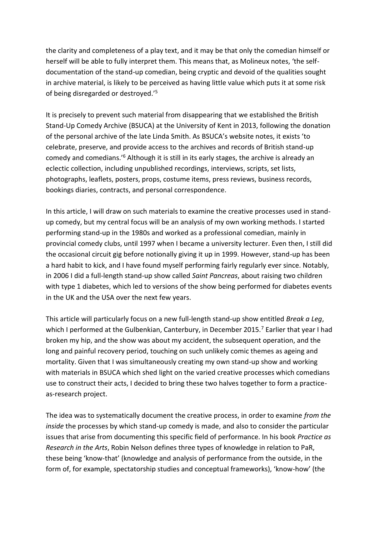the clarity and completeness of a play text, and it may be that only the comedian himself or herself will be able to fully interpret them. This means that, as Molineux notes, 'the selfdocumentation of the stand-up comedian, being cryptic and devoid of the qualities sought in archive material, is likely to be perceived as having little value which puts it at some risk of being disregarded or destroyed.'<sup>5</sup>

It is precisely to prevent such material from disappearing that we established the British Stand-Up Comedy Archive (BSUCA) at the University of Kent in 2013, following the donation of the personal archive of the late Linda Smith. As BSUCA's website notes, it exists 'to celebrate, preserve, and provide access to the archives and records of British stand-up comedy and comedians.<sup>16</sup> Although it is still in its early stages, the archive is already an eclectic collection, including unpublished recordings, interviews, scripts, set lists, photographs, leaflets, posters, props, costume items, press reviews, business records, bookings diaries, contracts, and personal correspondence.

In this article, I will draw on such materials to examine the creative processes used in standup comedy, but my central focus will be an analysis of my own working methods. I started performing stand-up in the 1980s and worked as a professional comedian, mainly in provincial comedy clubs, until 1997 when I became a university lecturer. Even then, I still did the occasional circuit gig before notionally giving it up in 1999. However, stand-up has been a hard habit to kick, and I have found myself performing fairly regularly ever since. Notably, in 2006 I did a full-length stand-up show called *Saint Pancreas*, about raising two children with type 1 diabetes, which led to versions of the show being performed for diabetes events in the UK and the USA over the next few years.

This article will particularly focus on a new full-length stand-up show entitled *Break a Leg*, which I performed at the Gulbenkian, Canterbury, in December 2015.<sup>7</sup> Earlier that year I had broken my hip, and the show was about my accident, the subsequent operation, and the long and painful recovery period, touching on such unlikely comic themes as ageing and mortality. Given that I was simultaneously creating my own stand-up show and working with materials in BSUCA which shed light on the varied creative processes which comedians use to construct their acts, I decided to bring these two halves together to form a practiceas-research project.

The idea was to systematically document the creative process, in order to examine *from the inside* the processes by which stand-up comedy is made, and also to consider the particular issues that arise from documenting this specific field of performance. In his book *Practice as Research in the Arts*, Robin Nelson defines three types of knowledge in relation to PaR, these being 'know-that' (knowledge and analysis of performance from the outside, in the form of, for example, spectatorship studies and conceptual frameworks), 'know-how' (the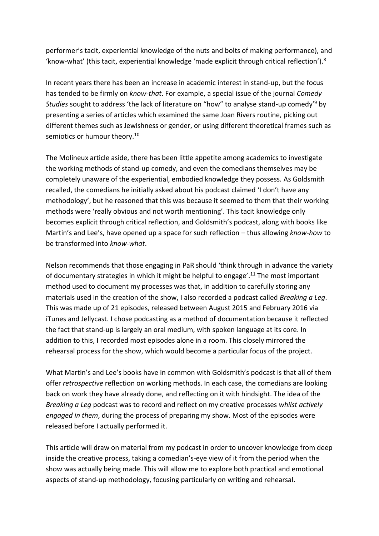performer's tacit, experiential knowledge of the nuts and bolts of making performance), and 'know-what' (this tacit, experiential knowledge 'made explicit through critical reflection').<sup>8</sup>

In recent years there has been an increase in academic interest in stand-up, but the focus has tended to be firmly on *know-that*. For example, a special issue of the journal *Comedy*  Studies sought to address 'the lack of literature on "how" to analyse stand-up comedy'<sup>9</sup> by presenting a series of articles which examined the same Joan Rivers routine, picking out different themes such as Jewishness or gender, or using different theoretical frames such as semiotics or humour theory.<sup>10</sup>

The Molineux article aside, there has been little appetite among academics to investigate the working methods of stand-up comedy, and even the comedians themselves may be completely unaware of the experiential, embodied knowledge they possess. As Goldsmith recalled, the comedians he initially asked about his podcast claimed 'I don't have any methodology', but he reasoned that this was because it seemed to them that their working methods were 'really obvious and not worth mentioning'. This tacit knowledge only becomes explicit through critical reflection, and Goldsmith's podcast, along with books like Martin's and Lee's, have opened up a space for such reflection - thus allowing *know-how* to be transformed into *know-what*.

Nelson recommends that those engaging in PaR should 'think through in advance the variety of documentary strategies in which it might be helpful to engage'.<sup>11</sup> The most important method used to document my processes was that, in addition to carefully storing any materials used in the creation of the show, I also recorded a podcast called *Breaking a Leg*. This was made up of 21 episodes, released between August 2015 and February 2016 via iTunes and Jellycast. I chose podcasting as a method of documentation because it reflected the fact that stand-up is largely an oral medium, with spoken language at its core. In addition to this, I recorded most episodes alone in a room. This closely mirrored the rehearsal process for the show, which would become a particular focus of the project.

What Martin's and Lee's books have in common with Goldsmith's podcast is that all of them offer *retrospective* reflection on working methods. In each case, the comedians are looking back on work they have already done, and reflecting on it with hindsight. The idea of the *Breaking a Leg* podcast was to record and reflect on my creative processes *whilst actively engaged in them*, during the process of preparing my show. Most of the episodes were released before I actually performed it.

This article will draw on material from my podcast in order to uncover knowledge from deep inside the creative process, taking a comedian's-eye view of it from the period when the show was actually being made. This will allow me to explore both practical and emotional aspects of stand-up methodology, focusing particularly on writing and rehearsal.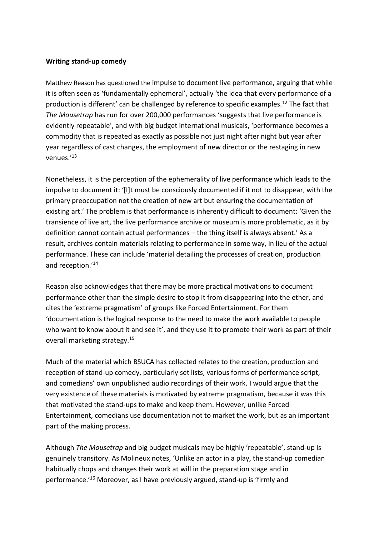#### **Writing stand-up comedy**

Matthew Reason has questioned the impulse to document live performance, arguing that while it is often seen as 'fundamentally ephemeral', actually 'the idea that every performance of a production is different' can be challenged by reference to specific examples.<sup>12</sup> The fact that *The Mousetrap* has run for over 200,000 performances 'suggests that live performance is evidently repeatable', and with big budget international musicals, 'performance becomes a commodity that is repeated as exactly as possible not just night after night but year after year regardless of cast changes, the employment of new director or the restaging in new venues.'<sup>13</sup>

Nonetheless, it is the perception of the ephemerality of live performance which leads to the impulse to document it: '[I]t must be consciously documented if it not to disappear, with the primary preoccupation not the creation of new art but ensuring the documentation of existing art.' The problem is that performance is inherently difficult to document: 'Given the transience of live art, the live performance archive or museum is more problematic, as it by definition cannot contain actual performances - the thing itself is always absent.' As a result, archives contain materials relating to performance in some way, in lieu of the actual performance. These can include 'material detailing the processes of creation, production and reception.'<sup>14</sup>

Reason also acknowledges that there may be more practical motivations to document performance other than the simple desire to stop it from disappearing into the ether, and cites the 'extreme pragmatism' of groups like Forced Entertainment. For them 'documentation is the logical response to the need to make the work available to people who want to know about it and see it', and they use it to promote their work as part of their overall marketing strategy.<sup>15</sup>

Much of the material which BSUCA has collected relates to the creation, production and reception of stand-up comedy, particularly set lists, various forms of performance script, and comedians' own unpublished audio recordings of their work. I would argue that the very existence of these materials is motivated by extreme pragmatism, because it was this that motivated the stand-ups to make and keep them. However, unlike Forced Entertainment, comedians use documentation not to market the work, but as an important part of the making process.

Although *The Mousetrap* and big budget musicals may be highly 'repeatable', stand-up is genuinely transitory. As Molineux notes, 'Unlike an actor in a play, the stand-up comedian habitually chops and changes their work at will in the preparation stage and in performance.<sup>16</sup> Moreover, as I have previously argued, stand-up is 'firmly and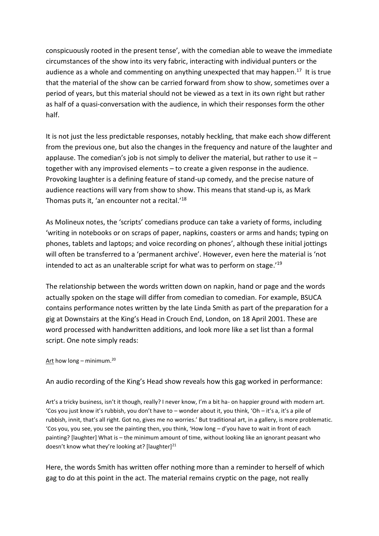conspicuously rooted in the present tense', with the comedian able to weave the immediate circumstances of the show into its very fabric, interacting with individual punters or the audience as a whole and commenting on anything unexpected that may happen.<sup>17</sup> It is true that the material of the show can be carried forward from show to show, sometimes over a period of years, but this material should not be viewed as a text in its own right but rather as half of a quasi-conversation with the audience, in which their responses form the other half.

It is not just the less predictable responses, notably heckling, that make each show different from the previous one, but also the changes in the frequency and nature of the laughter and applause. The comedian's job is not simply to deliver the material, but rather to use it  $$ together with any improvised elements  $-$  to create a given response in the audience. Provoking laughter is a defining feature of stand-up comedy, and the precise nature of audience reactions will vary from show to show. This means that stand-up is, as Mark Thomas puts it, 'an encounter not a recital.'<sup>18</sup>

As Molineux notes, the 'scripts' comedians produce can take a variety of forms, including 'writing in notebooks or on scraps of paper, napkins, coasters or arms and hands; typing on phones, tablets and laptops; and voice recording on phones', although these initial jottings will often be transferred to a 'permanent archive'. However, even here the material is 'not intended to act as an unalterable script for what was to perform on stage.<sup>19</sup>

The relationship between the words written down on napkin, hand or page and the words actually spoken on the stage will differ from comedian to comedian. For example, BSUCA contains performance notes written by the late Linda Smith as part of the preparation for a gig at Downstairs at the King's Head in Crouch End, London, on 18 April 2001. These are word processed with handwritten additions, and look more like a set list than a formal script. One note simply reads:

#### Art how long – minimum.<sup>20</sup>

#### An audio recording of the King's Head show reveals how this gag worked in performance:

Art's a tricky business, isn't it though, really? I never know, I'm a bit ha- on happier ground with modern art. 'Cos you just know it's rubbish, you don't have to - wonder about it, you think, 'Oh - it's a, it's a pile of rubbish, innit, that's all right. Got no, gives me no worries.' But traditional art, in a gallery, is more problematic. 'Cos you, you see, you see the painting then, you think, 'How long - d'you have to wait in front of each painting? [laughter] What is – the minimum amount of time, without looking like an ignorant peasant who doesn't know what they're looking at? [laughter]<sup>21</sup>

Here, the words Smith has written offer nothing more than a reminder to herself of which gag to do at this point in the act. The material remains cryptic on the page, not really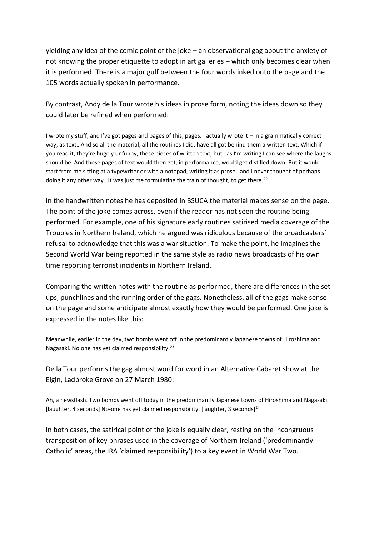yielding any idea of the comic point of the joke  $-$  an observational gag about the anxiety of not knowing the proper etiquette to adopt in art galleries – which only becomes clear when it is performed. There is a major gulf between the four words inked onto the page and the 105 words actually spoken in performance.

By contrast, Andy de la Tour wrote his ideas in prose form, noting the ideas down so they could later be refined when performed:

I wrote my stuff, and I've got pages and pages of this, pages. I actually wrote it - in a grammatically correct way, as text...And so all the material, all the routines I did, have all got behind them a written text. Which if you read it, they're hugely unfunny, these pieces of written text, but...as I'm writing I can see where the laughs should be. And those pages of text would then get, in performance, would get distilled down. But it would start from me sitting at a typewriter or with a notepad, writing it as prose...and I never thought of perhaps doing it any other way...It was just me formulating the train of thought, to get there.<sup>22</sup>

In the handwritten notes he has deposited in BSUCA the material makes sense on the page. The point of the joke comes across, even if the reader has not seen the routine being performed. For example, one of his signature early routines satirised media coverage of the Troubles in Northern Ireland, which he argued was ridiculous because of the broadcasters' refusal to acknowledge that this was a war situation. To make the point, he imagines the Second World War being reported in the same style as radio news broadcasts of his own time reporting terrorist incidents in Northern Ireland.

Comparing the written notes with the routine as performed, there are differences in the setups, punchlines and the running order of the gags. Nonetheless, all of the gags make sense on the page and some anticipate almost exactly how they would be performed. One joke is expressed in the notes like this:

Meanwhile, earlier in the day, two bombs went off in the predominantly Japanese towns of Hiroshima and Nagasaki. No one has yet claimed responsibility.<sup>23</sup>

De la Tour performs the gag almost word for word in an Alternative Cabaret show at the Elgin, Ladbroke Grove on 27 March 1980:

Ah, a newsflash. Two bombs went off today in the predominantly Japanese towns of Hiroshima and Nagasaki. [laughter, 4 seconds] No-one has yet claimed responsibility. [laughter, 3 seconds]<sup>24</sup>

In both cases, the satirical point of the joke is equally clear, resting on the incongruous transposition of key phrases used in the coverage of Northern Ireland ('predominantly Catholic' areas, the IRA 'claimed responsibility') to a key event in World War Two.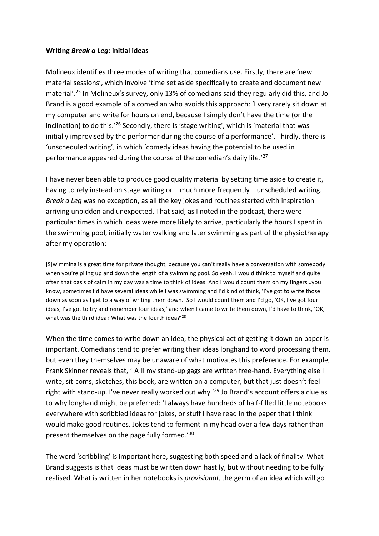#### **Writing** *Break a Leg***: initial ideas**

Molineux identifies three modes of writing that comedians use. Firstly, there are 'new material sessions', which involve 'time set aside specifically to create and document new material'.<sup>25</sup> In Molineux's survey, only 13% of comedians said they regularly did this, and Jo Brand is a good example of a comedian who avoids this approach: 'I very rarely sit down at my computer and write for hours on end, because I simply don't have the time (or the inclination) to do this.<sup>'26</sup> Secondly, there is 'stage writing', which is 'material that was initially improvised by the performer during the course of a performance'. Thirdly, there is 'unscheduled writing', in which 'comedy ideas having the potential to be used in performance appeared during the course of the comedian's daily life.'<sup>27</sup>

I have never been able to produce good quality material by setting time aside to create it, having to rely instead on stage writing or - much more frequently - unscheduled writing. *Break a Leg* was no exception, as all the key jokes and routines started with inspiration arriving unbidden and unexpected. That said, as I noted in the podcast, there were particular times in which ideas were more likely to arrive, particularly the hours I spent in the swimming pool, initially water walking and later swimming as part of the physiotherapy after my operation:

[S]wimming is a great time for private thought, because you can't really have a conversation with somebody when you're piling up and down the length of a swimming pool. So yeah, I would think to myself and quite often that oasis of calm in my day was a time to think of ideas. And I would count them on my fingers...you know, sometimes I'd have several ideas while I was swimming and I'd kind of think, 'I've got to write those down as soon as I get to a way of writing them down.' So I would count them and I'd go, 'OK, I've got four ideas, I've got to try and remember four ideas,' and when I came to write them down, I'd have to think, 'OK, what was the third idea? What was the fourth idea?'<sup>28</sup>

When the time comes to write down an idea, the physical act of getting it down on paper is important. Comedians tend to prefer writing their ideas longhand to word processing them, but even they themselves may be unaware of what motivates this preference. For example, Frank Skinner reveals that, '[A]II my stand-up gags are written free-hand. Everything else I write, sit-coms, sketches, this book, are written on a computer, but that just doesn't feel right with stand-up. I've never really worked out why.<sup>129</sup> Jo Brand's account offers a clue as to why longhand might be preferred: 'I always have hundreds of half-filled little notebooks everywhere with scribbled ideas for jokes, or stuff I have read in the paper that I think would make good routines. Jokes tend to ferment in my head over a few days rather than present themselves on the page fully formed.'30

The word 'scribbling' is important here, suggesting both speed and a lack of finality. What Brand suggests is that ideas must be written down hastily, but without needing to be fully realised. What is written in her notebooks is *provisional*, the germ of an idea which will go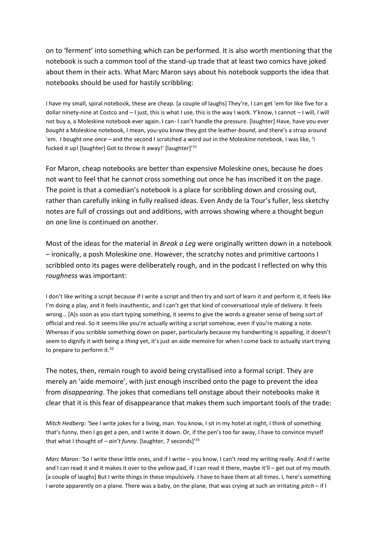on to 'ferment' into something which can be performed. It is also worth mentioning that the notebook is such a common tool of the stand-up trade that at least two comics have joked about them in their acts. What Marc Maron says about his notebook supports the idea that notebooks should be used for hastily scribbling:

I have my small, spiral notebook, these are cheap. [a couple of laughs] They're, I can get 'em for like five for a dollar ninety-nine at Costco and - I just, this is what I use, this is the way I work. Y'know, I cannot - I will, I will not buy a, a Moleskine notebook ever again. I can- I can't handle the pressure. [laughter] Have, have you ever *bought* a Moleskine notebook, I mean, you-you know they got the leather-*bound*, and there's a strap around 'em. I bought one *once* – and the second I scratched a word *out* in the Moleskine notebook, I was like, 'I fucked it up! [laughter] Got to throw it away!' [laughter]'<sup>31</sup>

For Maron, cheap notebooks are better than expensive Moleskine ones, because he does not want to feel that he cannot cross something out once he has inscribed it on the page. The point is that a comedian's notebook is a place for scribbling down and crossing out, rather than carefully inking in fully realised ideas. Even Andy de la Tour's fuller, less sketchy notes are full of crossings out and additions, with arrows showing where a thought begun on one line is continued on another.

Most of the ideas for the material in *Break a Leg* were originally written down in a notebook - ironically, a posh Moleskine one. However, the scratchy notes and primitive cartoons I scribbled onto its pages were deliberately rough, and in the podcast I reflected on why this *roughness* was important:

I don't like writing a script because if I write a script and then try and sort of learn it and perform it, it feels like I'm doing a play, and it feels inauthentic, and I can't get that kind of conversational style of delivery. It feels wrong... [A]s soon as you start typing something, it seems to give the words a greater sense of being sort of official and real. So it seems like you're actually writing a script somehow, even if you're making a note. Whereas if you scribble something down on paper, particularly because my handwriting is appalling, it doesn't seem to dignify it with being a *thing* yet, it's just an aide memoire for when I come back to actually start trying to prepare to perform it.<sup>32</sup>

The notes, then, remain rough to avoid being crystallised into a formal script. They are merely an 'aide memoire', with just enough inscribed onto the page to prevent the idea from *disappearing*. The jokes that comedians tell onstage about their notebooks make it clear that it is this fear of disappearance that makes them such important tools of the trade:

*Mitch Hedberg:* 'See I write jokes for a living, man. You know, I sit in my hotel at night, I think of something that's funny, then I go get a pen, and I write it down. Or, if the pen's too far away, I have to convince myself that what I thought of - ain't funny. [laughter, 7 seconds]<sup>'33</sup>

*Marc Maron:* 'So I write these little ones, and if I write – you know, I can't *read* my writing really. And if I write and I can read it and it makes it over to the yellow pad, if I can read it there, maybe it'll – get out of my mouth. [a couple of laughs] But I write things in these impulsively. I have to have them at all times. I, here's something I wrote apparently on a plane. There was a baby, on the plane, that was crying at such an irritating *pitch* – if I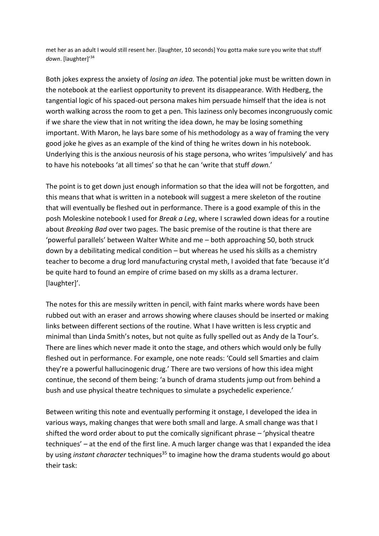met her as an adult I would still resent her. [laughter, 10 seconds] You gotta make sure you write that stuff down. [laughter]'<sup>34</sup>

Both jokes express the anxiety of *losing an idea.* The potential joke must be written down in the notebook at the earliest opportunity to prevent its disappearance. With Hedberg, the tangential logic of his spaced-out persona makes him persuade himself that the idea is not worth walking across the room to get a pen. This laziness only becomes incongruously comic if we share the view that in not writing the idea down, he may be losing something important. With Maron, he lays bare some of his methodology as a way of framing the very good joke he gives as an example of the kind of thing he writes down in his notebook. Underlying this is the anxious neurosis of his stage persona, who writes 'impulsively' and has to have his notebooks 'at all times' so that he can 'write that stuff down.'

The point is to get down just enough information so that the idea will not be forgotten, and this means that what is written in a notebook will suggest a mere skeleton of the routine that will eventually be fleshed out in performance. There is a good example of this in the posh Moleskine notebook I used for *Break a Leg*, where I scrawled down ideas for a routine about *Breaking Bad* over two pages. The basic premise of the routine is that there are 'powerful parallels' between Walter White and me - both approaching 50, both struck down by a debilitating medical condition  $-$  but whereas he used his skills as a chemistry teacher to become a drug lord manufacturing crystal meth, I avoided that fate 'because it'd be quite hard to found an empire of crime based on my skills as a drama lecturer. [laughter]'.

The notes for this are messily written in pencil, with faint marks where words have been rubbed out with an eraser and arrows showing where clauses should be inserted or making links between different sections of the routine. What I have written is less cryptic and minimal than Linda Smith's notes, but not quite as fully spelled out as Andy de la Tour's. There are lines which never made it onto the stage, and others which would only be fully fleshed out in performance. For example, one note reads: 'Could sell Smarties and claim they're a powerful hallucinogenic drug.' There are two versions of how this idea might continue, the second of them being: 'a bunch of drama students jump out from behind a bush and use physical theatre techniques to simulate a psychedelic experience.'

Between writing this note and eventually performing it onstage, I developed the idea in various ways, making changes that were both small and large. A small change was that I shifted the word order about to put the comically significant phrase  $-$  'physical theatre techniques' – at the end of the first line. A much larger change was that I expanded the idea by using *instant character* techniques<sup>35</sup> to imagine how the drama students would go about their task: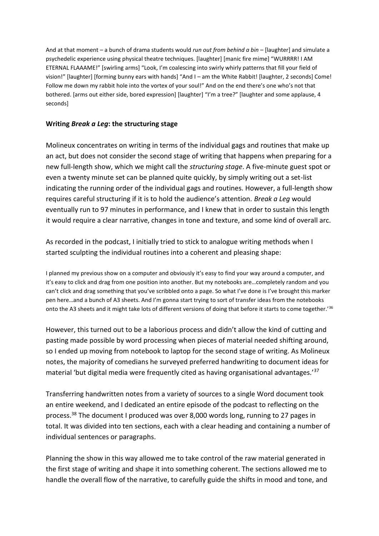And at that moment – a bunch of drama students would *run out from behind a bin* – [laughter] and simulate a psychedelic experience using physical theatre techniques. [laughter] [manic fire mime] "WURRRR! I AM ETERNAL FLAAAME!" [swirling arms] "Look, I'm coalescing into swirly whirly patterns that fill your field of vision!" [laughter] [forming bunny ears with hands] "And I – am the White Rabbit! [laughter, 2 seconds] Come! Follow me down my rabbit hole into the vortex of your soul!" And on the end there's one who's not that bothered. [arms out either side, bored expression] [laughter] "I'm a tree?" [laughter and some applause, 4 seconds]

#### **Writing** *Break a Leg***: the structuring stage**

Molineux concentrates on writing in terms of the individual gags and routines that make up an act, but does not consider the second stage of writing that happens when preparing for a new full-length show, which we might call the *structuring stage*. A five-minute guest spot or even a twenty minute set can be planned quite quickly, by simply writing out a set-list indicating the running order of the individual gags and routines. However, a full-length show requires careful structuring if it is to hold the audience's attention. Break a Leg would eventually run to 97 minutes in performance, and I knew that in order to sustain this length it would require a clear narrative, changes in tone and texture, and some kind of overall arc.

As recorded in the podcast, I initially tried to stick to analogue writing methods when I started sculpting the individual routines into a coherent and pleasing shape:

I planned my previous show on a computer and obviously it's easy to find your way around a computer, and it's easy to click and drag from one position into another. But my notebooks are...completely random and you can't click and drag something that you've scribbled onto a page. So what I've done is I've brought this marker pen here...and a bunch of A3 sheets. And I'm gonna start trying to sort of transfer ideas from the notebooks onto the A3 sheets and it might take lots of different versions of doing that before it starts to come together.<sup>136</sup>

However, this turned out to be a laborious process and didn't allow the kind of cutting and pasting made possible by word processing when pieces of material needed shifting around, so I ended up moving from notebook to laptop for the second stage of writing. As Molineux notes, the majority of comedians he surveyed preferred handwriting to document ideas for material 'but digital media were frequently cited as having organisational advantages.'<sup>37</sup>

Transferring handwritten notes from a variety of sources to a single Word document took an entire weekend, and I dedicated an entire episode of the podcast to reflecting on the process.<sup>38</sup> The document I produced was over 8,000 words long, running to 27 pages in total. It was divided into ten sections, each with a clear heading and containing a number of individual sentences or paragraphs.

Planning the show in this way allowed me to take control of the raw material generated in the first stage of writing and shape it into something coherent. The sections allowed me to handle the overall flow of the narrative, to carefully guide the shifts in mood and tone, and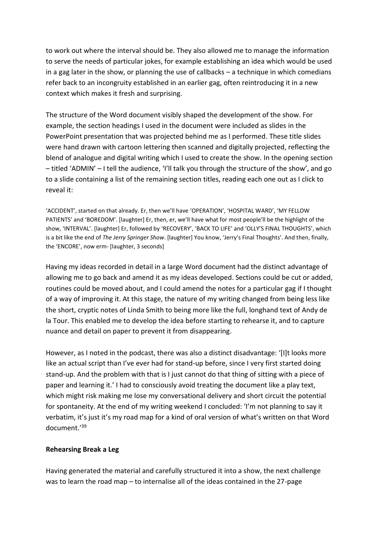to work out where the interval should be. They also allowed me to manage the information to serve the needs of particular jokes, for example establishing an idea which would be used in a gag later in the show, or planning the use of callbacks  $-$  a technique in which comedians refer back to an incongruity established in an earlier gag, often reintroducing it in a new context which makes it fresh and surprising.

The structure of the Word document visibly shaped the development of the show. For example, the section headings I used in the document were included as slides in the PowerPoint presentation that was projected behind me as I performed. These title slides were hand drawn with cartoon lettering then scanned and digitally projected, reflecting the blend of analogue and digital writing which I used to create the show. In the opening section - titled 'ADMIN' – I tell the audience, 'I'll talk you through the structure of the show', and go to a slide containing a list of the remaining section titles, reading each one out as I click to reveal it:

'ACCIDENT', started on that already. Er, then we'll have 'OPERATION', 'HOSPITAL WARD', 'MY FELLOW PATIENTS' and 'BOREDOM'. [laughter] Er, then, er, we'll have what for most people'll be the highlight of the show, 'INTERVAL'. [laughter] Er, followed by 'RECOVERY', 'BACK TO LIFE' and 'OLLY'S FINAL THOUGHTS', which is a bit like the end of *The Jerry Springer Show*. [laughter] You know, 'Jerry's Final Thoughts'. And then, finally, the 'ENCORE', now erm- [laughter, 3 seconds]

Having my ideas recorded in detail in a large Word document had the distinct advantage of allowing me to go back and amend it as my ideas developed. Sections could be cut or added, routines could be moved about, and I could amend the notes for a particular gag if I thought of a way of improving it. At this stage, the nature of my writing changed from being less like the short, cryptic notes of Linda Smith to being more like the full, longhand text of Andy de la Tour. This enabled me to develop the idea before starting to rehearse it, and to capture nuance and detail on paper to prevent it from disappearing.

However, as I noted in the podcast, there was also a distinct disadvantage: '[I]t looks more like an actual script than I've ever had for stand-up before, since I very first started doing stand-up. And the problem with that is I just cannot do that thing of sitting with a piece of paper and learning it.' I had to consciously avoid treating the document like a play text, which might risk making me lose my conversational delivery and short circuit the potential for spontaneity. At the end of my writing weekend I concluded: 'I'm not planning to say it verbatim, it's just it's my road map for a kind of oral version of what's written on that Word document.'39

#### **Rehearsing Break a Leg**

Having generated the material and carefully structured it into a show, the next challenge was to learn the road map  $-$  to internalise all of the ideas contained in the 27-page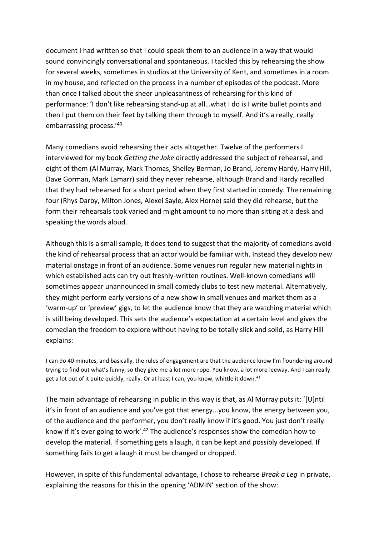document I had written so that I could speak them to an audience in a way that would sound convincingly conversational and spontaneous. I tackled this by rehearsing the show for several weeks, sometimes in studios at the University of Kent, and sometimes in a room in my house, and reflected on the process in a number of episodes of the podcast. More than once I talked about the sheer unpleasantness of rehearsing for this kind of performance: 'I don't like rehearsing stand-up at all...what I do is I write bullet points and then I put them on their feet by talking them through to myself. And it's a really, really embarrassing process.'40

Many comedians avoid rehearsing their acts altogether. Twelve of the performers I interviewed for my book *Getting the Joke* directly addressed the subject of rehearsal, and eight of them (Al Murray, Mark Thomas, Shelley Berman, Jo Brand, Jeremy Hardy, Harry Hill, Dave Gorman, Mark Lamarr) said they never rehearse, although Brand and Hardy recalled that they had rehearsed for a short period when they first started in comedy. The remaining four (Rhys Darby, Milton Jones, Alexei Sayle, Alex Horne) said they did rehearse, but the form their rehearsals took varied and might amount to no more than sitting at a desk and speaking the words aloud.

Although this is a small sample, it does tend to suggest that the majority of comedians avoid the kind of rehearsal process that an actor would be familiar with. Instead they develop new material onstage in front of an audience. Some venues run regular new material nights in which established acts can try out freshly-written routines. Well-known comedians will sometimes appear unannounced in small comedy clubs to test new material. Alternatively, they might perform early versions of a new show in small venues and market them as a 'warm-up' or 'preview' gigs, to let the audience know that they are watching material which is still being developed. This sets the audience's expectation at a certain level and gives the comedian the freedom to explore without having to be totally slick and solid, as Harry Hill explains:

I can do 40 minutes, and basically, the rules of engagement are that the audience know I'm floundering around trying to find out what's funny, so they give me a lot more rope. You know, a lot more leeway. And I can really get a lot out of it quite quickly, really. Or at least I can, you know, whittle it down.<sup>41</sup>

The main advantage of rehearsing in public in this way is that, as Al Murray puts it: '[U]ntil it's in front of an audience and you've got that energy...you know, the energy between you, of the audience and the performer, you don't really know if it's good. You just don't really know if it's ever going to work'.<sup>42</sup> The audience's responses show the comedian how to develop the material. If something gets a laugh, it can be kept and possibly developed. If something fails to get a laugh it must be changed or dropped.

However, in spite of this fundamental advantage, I chose to rehearse *Break a Leg* in private, explaining the reasons for this in the opening 'ADMIN' section of the show: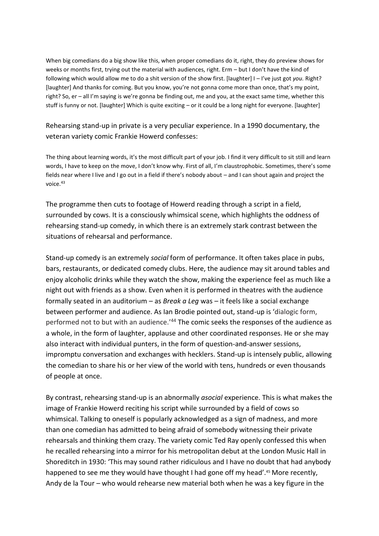When big comedians do a big show like this, when proper comedians do it, right, they do preview shows for weeks or months first, trying out the material with audiences, right. Erm – but I don't have the kind of following which would allow me to do a shit version of the show first. [laughter] I - I've just got you. Right? [laughter] And thanks for coming. But you know, you're not gonna come more than once, that's my point, right? So, er – all I'm saying is we're gonna be finding out, me and you, at the exact same time, whether this stuff is funny or not. [laughter] Which is quite exciting – or it could be a long night for everyone. [laughter]

#### Rehearsing stand-up in private is a very peculiar experience. In a 1990 documentary, the veteran variety comic Frankie Howerd confesses:

The thing about learning words, it's the most difficult part of your job. I find it very difficult to sit still and learn words, I have to keep on the move, I don't know why. First of all, I'm claustrophobic. Sometimes, there's some fields near where I live and I go out in a field if there's nobody about – and I can shout again and project the voice.<sup>43</sup>

The programme then cuts to footage of Howerd reading through a script in a field, surrounded by cows. It is a consciously whimsical scene, which highlights the oddness of rehearsing stand-up comedy, in which there is an extremely stark contrast between the situations of rehearsal and performance.

Stand-up comedy is an extremely *social* form of performance. It often takes place in pubs, bars, restaurants, or dedicated comedy clubs. Here, the audience may sit around tables and enjoy alcoholic drinks while they watch the show, making the experience feel as much like a night out with friends as a show. Even when it is performed in theatres with the audience formally seated in an auditorium – as *Break a Leg* was – it feels like a social exchange between performer and audience. As Ian Brodie pointed out, stand-up is 'dialogic form, performed not to but with an audience.<sup>144</sup> The comic seeks the responses of the audience as a whole, in the form of laughter, applause and other coordinated responses. He or she may also interact with individual punters, in the form of question-and-answer sessions, impromptu conversation and exchanges with hecklers. Stand-up is intensely public, allowing the comedian to share his or her view of the world with tens, hundreds or even thousands of people at once.

By contrast, rehearsing stand-up is an abnormally *asocial* experience. This is what makes the image of Frankie Howerd reciting his script while surrounded by a field of cows so whimsical. Talking to oneself is popularly acknowledged as a sign of madness, and more than one comedian has admitted to being afraid of somebody witnessing their private rehearsals and thinking them crazy. The variety comic Ted Ray openly confessed this when he recalled rehearsing into a mirror for his metropolitan debut at the London Music Hall in Shoreditch in 1930: 'This may sound rather ridiculous and I have no doubt that had anybody happened to see me they would have thought I had gone off my head'.<sup>45</sup> More recently, Andy de la Tour - who would rehearse new material both when he was a key figure in the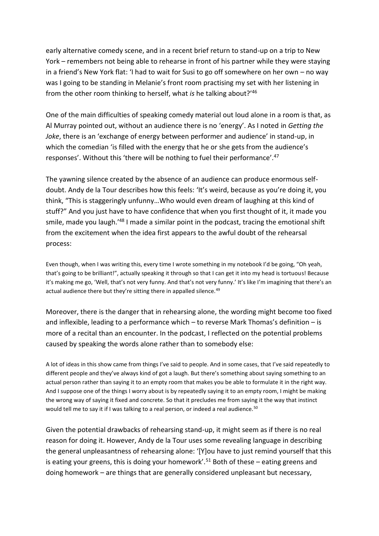early alternative comedy scene, and in a recent brief return to stand-up on a trip to New York – remembers not being able to rehearse in front of his partner while they were staying in a friend's New York flat: 'I had to wait for Susi to go off somewhere on her own – no way was I going to be standing in Melanie's front room practising my set with her listening in from the other room thinking to herself, what *is* he talking about?'<sup>46</sup>

One of the main difficulties of speaking comedy material out loud alone in a room is that, as Al Murray pointed out, without an audience there is no 'energy'. As I noted in Getting the *Joke*, there is an 'exchange of energy between performer and audience' in stand-up, in which the comedian 'is filled with the energy that he or she gets from the audience's responses'. Without this 'there will be nothing to fuel their performance'.<sup>47</sup>

The yawning silence created by the absence of an audience can produce enormous selfdoubt. Andy de la Tour describes how this feels: 'It's weird, because as you're doing it, you think, "This is staggeringly unfunny...Who would even dream of laughing at this kind of stuff?" And you just have to have confidence that when you first thought of it, it made you smile, made you laugh.<sup>148</sup> I made a similar point in the podcast, tracing the emotional shift from the excitement when the idea first appears to the awful doubt of the rehearsal process:

Even though, when I was writing this, every time I wrote something in my notebook I'd be going, "Oh yeah, that's going to be brilliant!", actually speaking it through so that I can get it into my head is tortuous! Because it's making me go, 'Well, that's not very funny. And that's not very funny.' It's like I'm imagining that there's an actual audience there but they're sitting there in appalled silence.<sup>49</sup>

Moreover, there is the danger that in rehearsing alone, the wording might become too fixed and inflexible, leading to a performance which  $-$  to reverse Mark Thomas's definition  $-$  is more of a recital than an encounter. In the podcast, I reflected on the potential problems caused by speaking the words alone rather than to somebody else:

A lot of ideas in this show came from things I've said to people. And in some cases, that I've said repeatedly to different people and they've always kind of got a laugh. But there's something about saying something to an actual person rather than saying it to an empty room that makes you be able to formulate it in the right way. And I suppose one of the things I worry about is by repeatedly saying it to an empty room, I might be making the wrong way of saying it fixed and concrete. So that it precludes me from saying it the way that instinct would tell me to say it if I was talking to a real person, or indeed a real audience.<sup>50</sup>

Given the potential drawbacks of rehearsing stand-up, it might seem as if there is no real reason for doing it. However, Andy de la Tour uses some revealing language in describing the general unpleasantness of rehearsing alone: '[Y]ou have to just remind yourself that this is eating your greens, this is doing your homework'.<sup>51</sup> Both of these - eating greens and doing homework - are things that are generally considered unpleasant but necessary,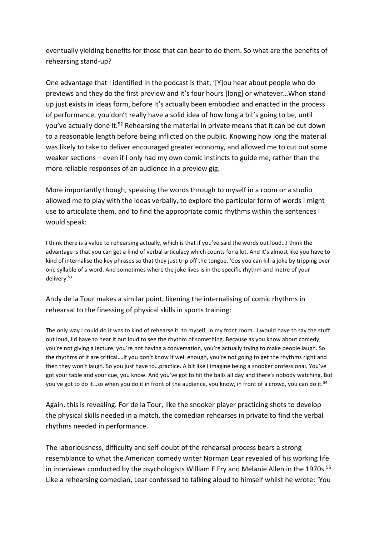eventually yielding benefits for those that can bear to do them. So what are the benefits of rehearsing stand-up?

One advantage that I identified in the podcast is that, '[Y]ou hear about people who do previews and they do the first preview and it's four hours [long] or whatever...When standup just exists in ideas form, before it's actually been embodied and enacted in the process of performance, you don't really have a solid idea of how long a bit's going to be, until you've actually done it.<sup>52</sup> Rehearsing the material in private means that it can be cut down to a reasonable length before being inflicted on the public. Knowing how long the material was likely to take to deliver encouraged greater economy, and allowed me to cut out some weaker sections  $-$  even if I only had my own comic instincts to guide me, rather than the more reliable responses of an audience in a preview gig.

More importantly though, speaking the words through to myself in a room or a studio allowed me to play with the ideas verbally, to explore the particular form of words I might use to articulate them, and to find the appropriate comic rhythms within the sentences I would speak:

I think there is a value to rehearsing actually, which is that if you've said the words out loud...I think the advantage is that you can get a kind of verbal articulacy which counts for a lot. And it's almost like you have to kind of internalise the key phrases so that they just trip off the tongue. 'Cos you can kill a joke by tripping over one syllable of a word. And sometimes where the joke lives is in the specific rhythm and metre of your delivery.<sup>53</sup>

Andy de la Tour makes a similar point, likening the internalising of comic rhythms in rehearsal to the finessing of physical skills in sports training:

The only way I could do it was to kind of rehearse it, to myself, in my front room...I would have to say the stuff out loud, I'd have to hear it out loud to see the rhythm of something. Because as you know about comedy, you're not giving a lecture, you're not having a conversation, you're actually trying to make people laugh. So the rhythms of it are critical....if you don't know it well enough, you're not going to get the rhythms right and then they won't laugh. So you just have to...practice. A bit like I imagine being a snooker professional. You've got your table and your cue, you know. And you've got to hit the balls all day and there's nobody watching. But you've got to do it...so when you do it in front of the audience, you know, in front of a crowd, you can do it.<sup>54</sup>

Again, this is revealing. For de la Tour, like the snooker player practicing shots to develop the physical skills needed in a match, the comedian rehearses in private to find the verbal rhythms needed in performance.

The laboriousness, difficulty and self-doubt of the rehearsal process bears a strong resemblance to what the American comedy writer Norman Lear revealed of his working life in interviews conducted by the psychologists William F Fry and Melanie Allen in the 1970s.<sup>55</sup> Like a rehearsing comedian, Lear confessed to talking aloud to himself whilst he wrote: 'You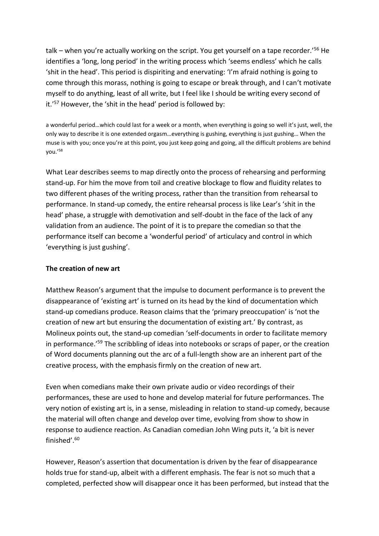talk – when you're actually working on the script. You get yourself on a tape recorder.<sup>'56</sup> He identifies a 'long, long period' in the writing process which 'seems endless' which he calls 'shit in the head'. This period is dispiriting and enervating: 'I'm afraid nothing is going to come through this morass, nothing is going to escape or break through, and I can't motivate myself to do anything, least of all write, but I feel like I should be writing every second of it.'<sup>57</sup> However, the 'shit in the head' period is followed by:

a wonderful period...which could last for a week or a month, when everything is going so well it's just, well, the only way to describe it is one extended orgasm...everything is gushing, everything is just gushing... When the muse is with you; once you're at this point, you just keep going and going, all the difficult problems are behind you.'<sup>58</sup>

What Lear describes seems to map directly onto the process of rehearsing and performing stand-up. For him the move from toil and creative blockage to flow and fluidity relates to two different phases of the writing process, rather than the transition from rehearsal to performance. In stand-up comedy, the entire rehearsal process is like Lear's 'shit in the head' phase, a struggle with demotivation and self-doubt in the face of the lack of any validation from an audience. The point of it is to prepare the comedian so that the performance itself can become a 'wonderful period' of articulacy and control in which 'everything is just gushing'.

#### **The creation of new art**

Matthew Reason's argument that the impulse to document performance is to prevent the disappearance of 'existing art' is turned on its head by the kind of documentation which stand-up comedians produce. Reason claims that the 'primary preoccupation' is 'not the creation of new art but ensuring the documentation of existing art.' By contrast, as Molineux points out, the stand-up comedian 'self-documents in order to facilitate memory in performance.<sup>759</sup> The scribbling of ideas into notebooks or scraps of paper, or the creation of Word documents planning out the arc of a full-length show are an inherent part of the creative process, with the emphasis firmly on the creation of new art.

Even when comedians make their own private audio or video recordings of their performances, these are used to hone and develop material for future performances. The very notion of existing art is, in a sense, misleading in relation to stand-up comedy, because the material will often change and develop over time, evolving from show to show in response to audience reaction. As Canadian comedian John Wing puts it, 'a bit is never finished'.<sup>60</sup>

However, Reason's assertion that documentation is driven by the fear of disappearance holds true for stand-up, albeit with a different emphasis. The fear is not so much that a completed, perfected show will disappear once it has been performed, but instead that the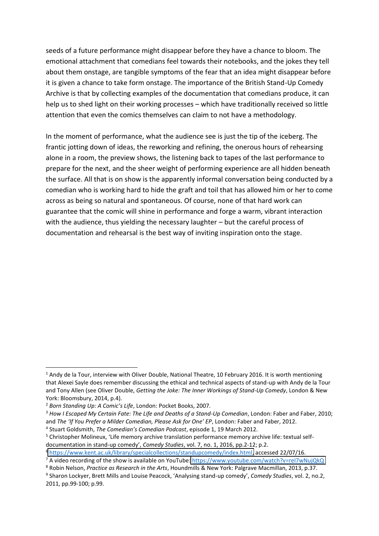seeds of a future performance might disappear before they have a chance to bloom. The emotional attachment that comedians feel towards their notebooks, and the jokes they tell about them onstage, are tangible symptoms of the fear that an idea might disappear before it is given a chance to take form onstage. The importance of the British Stand-Up Comedy Archive is that by collecting examples of the documentation that comedians produce, it can help us to shed light on their working processes - which have traditionally received so little attention that even the comics themselves can claim to not have a methodology.

In the moment of performance, what the audience see is just the tip of the iceberg. The frantic jotting down of ideas, the reworking and refining, the onerous hours of rehearsing alone in a room, the preview shows, the listening back to tapes of the last performance to prepare for the next, and the sheer weight of performing experience are all hidden beneath the surface. All that is on show is the apparently informal conversation being conducted by a comedian who is working hard to hide the graft and toil that has allowed him or her to come across as being so natural and spontaneous. Of course, none of that hard work can guarantee that the comic will shine in performance and forge a warm, vibrant interaction with the audience, thus yielding the necessary laughter - but the careful process of documentation and rehearsal is the best way of inviting inspiration onto the stage.

<u>.</u>

 $<sup>1</sup>$  Andy de la Tour, interview with Oliver Double, National Theatre, 10 February 2016. It is worth mentioning</sup> that Alexei Sayle does remember discussing the ethical and technical aspects of stand-up with Andy de la Tour and Tony Allen (see Oliver Double, *Getting the Joke: The Inner Workings of Stand-Up Comedy*, London & New York: Bloomsbury, 2014, p.4).

<sup>&</sup>lt;sup>2</sup> Born Standing Up: A Comic's Life, London: Pocket Books, 2007.

<sup>3</sup> *How I Escaped My Certain Fate: The Life and Deaths of a Stand-Up Comedian*, London: Faber and Faber, 2010; and *The 'If You Prefer a Milder Comedian, Please Ask for One' EP*, London: Faber and Faber, 2012.

<sup>&</sup>lt;sup>4</sup> Stuart Goldsmith, *The Comedian's Comedian Podcast*, episode 1, 19 March 2012.

<sup>&</sup>lt;sup>5</sup> Christopher Molineux, 'Life memory archive translation performance memory archive life: textual selfdocumentation in stand-up comedy', *Comedy Studies*, vol. 7, no. 1, 2016, pp.2-12; p.2.

<sup>6</sup> [https://www.kent.ac.uk/library/specialcollections/standupcomedy/index.html,](https://www.kent.ac.uk/library/specialcollections/standupcomedy/index.html) accessed 22/07/16.

<sup>&</sup>lt;sup>7</sup> A video recording of the show is available on YouTube:<https://www.youtube.com/watch?v=reI7wNujQkQ>

<sup>8</sup> Robin Nelson, *Practice as Research in the Arts*, Houndmills & New York: Palgrave Macmillan, 2013, p.37.

<sup>&</sup>lt;sup>9</sup> Sharon Lockyer, Brett Mills and Louise Peacock, 'Analysing stand-up comedy', Comedy Studies, vol. 2, no.2, 2011, pp.99-100; p.99.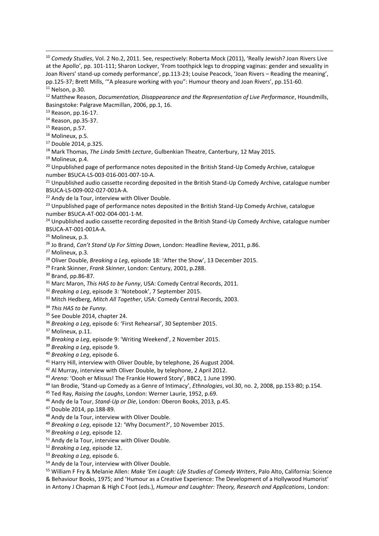<sup>12</sup> Matthew Reason, *Documentation, Disappearance and the Representation of Live Performance*, Houndmills, Basingstoke: Palgrave Macmillan, 2006, pp.1, 16.

<sup>13</sup> Reason, pp.16-17.

<sup>14</sup> Reason, pp.35-37.

<sup>15</sup> Reason, p.57.

<u>.</u>

<sup>16</sup> Molineux, p.5.

<sup>17</sup> Double 2014, p.325.

<sup>18</sup> Mark Thomas, *The Linda Smith Lecture*, Gulbenkian Theatre, Canterbury, 12 May 2015.

<sup>19</sup> Molineux, p.4.

<sup>20</sup> Unpublished page of performance notes deposited in the British Stand-Up Comedy Archive, catalogue number BSUCA-LS-003-016-001-007-10-A.

<sup>21</sup> Unpublished audio cassette recording deposited in the British Stand-Up Comedy Archive, catalogue number BSUCA-LS-009-002-027-001A-A.

<sup>22</sup> Andy de la Tour, interview with Oliver Double.

<sup>23</sup> Unpublished page of performance notes deposited in the British Stand-Up Comedy Archive, catalogue number BSUCA-AT-002-004-001-1-M.

<sup>24</sup> Unpublished audio cassette recording deposited in the British Stand-Up Comedy Archive, catalogue number BSUCA-AT-001-001A-A.

<sup>25</sup> Molineux, p.3.

<sup>26</sup> Jo Brand, *Can't Stand Up For Sitting Down*, London: Headline Review, 2011, p.86.

<sup>27</sup> Molineux, p.3.

<sup>28</sup> Oliver Double, *Breaking a Leg*, episode 18: 'After the Show', 13 December 2015.

<sup>29</sup> Frank Skinner, *Frank Skinner*, London: Century, 2001, p.288.

<sup>30</sup> Brand, pp.86-87.

<sup>31</sup> Marc Maron, *This HAS to be Funny*, USA: Comedy Central Records, 2011.

<sup>32</sup> Breaking a Leg, episode 3: 'Notebook', 7 September 2015.

<sup>33</sup> Mitch Hedberg, *Mitch All Together*, USA: Comedy Central Records, 2003.

<sup>34</sup> *This HAS to be Funny.*

<sup>35</sup> See Double 2014, chapter 24.

<sup>36</sup> Breaking a Leg, episode 6: 'First Rehearsal', 30 September 2015.

<sup>37</sup> Molineux, p.11.

<sup>38</sup> Breaking a Lea, episode 9: 'Writing Weekend', 2 November 2015.

<sup>39</sup> *Breaking a Leg*, episode 9.

<sup>40</sup> *Breaking a Leg*, episode 6.

<sup>41</sup> Harry Hill, interview with Oliver Double, by telephone, 26 August 2004.

<sup>42</sup> Al Murray, interview with Oliver Double, by telephone, 2 April 2012.

<sup>43</sup> Arena: 'Oooh er Missus! The Frankie Howerd Story', BBC2, 1 June 1990.

<sup>44</sup> Ian Brodie, 'Stand-up Comedy as a Genre of Intimacy', *Ethnologies*, vol.30, no. 2, 2008, pp.153-80; p.154.

<sup>45</sup> Ted Ray, *Raising the Laughs*, London: Werner Laurie, 1952, p.69.

<sup>46</sup> Andy de la Tour, *Stand-Up or Die*, London: Oberon Books, 2013, p.45.

<sup>47</sup> Double 2014, pp.188-89.

<sup>48</sup> Andy de la Tour, interview with Oliver Double.

<sup>49</sup> Breaking a Leg, episode 12: 'Why Document?', 10 November 2015.

<sup>50</sup> *Breaking a Leg*, episode 12.

<sup>51</sup> Andy de la Tour, interview with Oliver Double.

<sup>52</sup> *Breaking a Leg*, episode 12.

<sup>53</sup> *Breaking a Leg*, episode 6.

<sup>54</sup> Andy de la Tour, interview with Oliver Double.

55 William F Fry & Melanie Allen: *Make 'Em Laugh: Life Studies of Comedy Writers*, Palo Alto, California: Science

& Behaviour Books, 1975; and 'Humour as a Creative Experience: The Development of a Hollywood Humorist'

in Antony J Chapman & High C Foot (eds.), *Humour and Laughter: Theory, Research and Applications*, London:

<sup>&</sup>lt;sup>10</sup> Comedy Studies, Vol. 2 No.2, 2011. See, respectively: Roberta Mock (2011), 'Really Jewish? Joan Rivers Live at the Apollo', pp. 101-111; Sharon Lockyer, 'From toothpick legs to dropping vaginas: gender and sexuality in Joan Rivers' stand-up comedy performance', pp.113-23; Louise Peacock, 'Joan Rivers – Reading the meaning', pp.125-37; Brett Mills, "A pleasure working with you": Humour theory and Joan Rivers', pp.151-60.  $11$  Nelson, p.30.